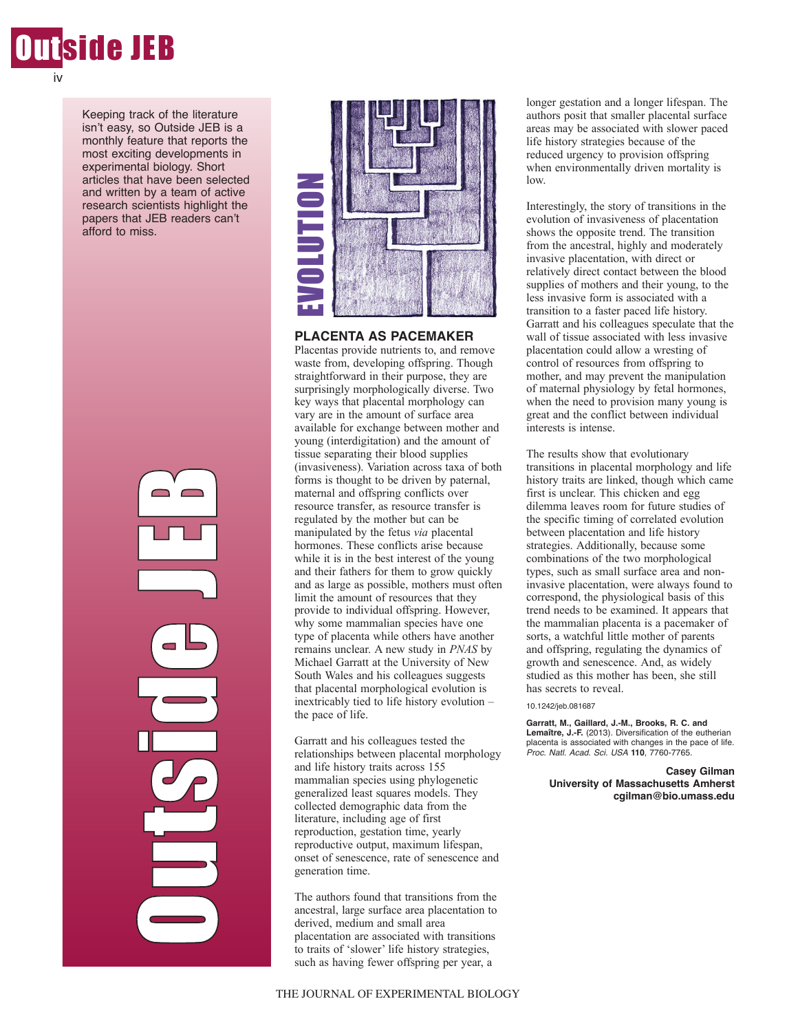

Keeping track of the literature isn't easy, so Outside JEB is a monthly feature that reports the most exciting developments in experimental biology. Short articles that have been selected and written by a team of active research scientists highlight the papers that JEB readers can't afford to miss.





#### **PLACENTA AS PACEMAKER**

Placentas provide nutrients to, and remove waste from, developing offspring. Though straightforward in their purpose, they are surprisingly morphologically diverse. Two key ways that placental morphology can vary are in the amount of surface area available for exchange between mother and young (interdigitation) and the amount of tissue separating their blood supplies (invasiveness). Variation across taxa of both forms is thought to be driven by paternal, maternal and offspring conflicts over resource transfer, as resource transfer is regulated by the mother but can be manipulated by the fetus *via* placental hormones. These conflicts arise because while it is in the best interest of the young and their fathers for them to grow quickly and as large as possible, mothers must often limit the amount of resources that they provide to individual offspring. However, why some mammalian species have one type of placenta while others have another remains unclear. A new study in *PNAS* by Michael Garratt at the University of New South Wales and his colleagues suggests that placental morphological evolution is inextricably tied to life history evolution – the pace of life. **EXERCT AS FACT AS PACENTA AS PACEMARER**<br>Placentas provide nutrities to, and removes them and state form, developing offspring. Though straightforward in their purpose, they are surprisingly morphologically diverse. Two ar

Garratt and his colleagues tested the relationships between placental morphology and life history traits across 155 mammalian species using phylogenetic generalized least squares models. They collected demographic data from the literature, including age of first reproduction, gestation time, yearly reproductive output, maximum lifespan, onset of senescence, rate of senescence and generation time.

The authors found that transitions from the ancestral, large surface area placentation to derived, medium and small area placentation are associated with transitions to traits of 'slower' life history strategies,

areas may be associated with slower paced life history strategies because of the reduced urgency to provision offspring when environmentally driven mortality is low. Interestingly, the story of transitions in the

longer gestation and a longer lifespan. The authors posit that smaller placental surface

evolution of invasiveness of placentation shows the opposite trend. The transition from the ancestral, highly and moderately invasive placentation, with direct or relatively direct contact between the blood supplies of mothers and their young, to the less invasive form is associated with a transition to a faster paced life history. Garratt and his colleagues speculate that the wall of tissue associated with less invasive placentation could allow a wresting of control of resources from offspring to mother, and may prevent the manipulation of maternal physiology by fetal hormones, when the need to provision many young is great and the conflict between individual interests is intense.

The results show that evolutionary transitions in placental morphology and life history traits are linked, though which came first is unclear. This chicken and egg dilemma leaves room for future studies of the specific timing of correlated evolution between placentation and life history strategies. Additionally, because some combinations of the two morphological types, such as small surface area and noninvasive placentation, were always found to correspond, the physiological basis of this trend needs to be examined. It appears that the mammalian placenta is a pacemaker of sorts, a watchful little mother of parents and offspring, regulating the dynamics of growth and senescence. And, as widely studied as this mother has been, she still has secrets to reveal.

10.1242/jeb.081687

**Garratt, M., Gaillard, J.-M., Brooks, R. C. and Lemaître, J.-F.** (2013). Diversification of the eutherian placenta is associated with changes in the pace of life. *Proc. Natl. Acad. Sci. USA* **110**, 7760-7765.

> **Casey Gilman University of Massachusetts Amherst cgilman@bio.umass.edu**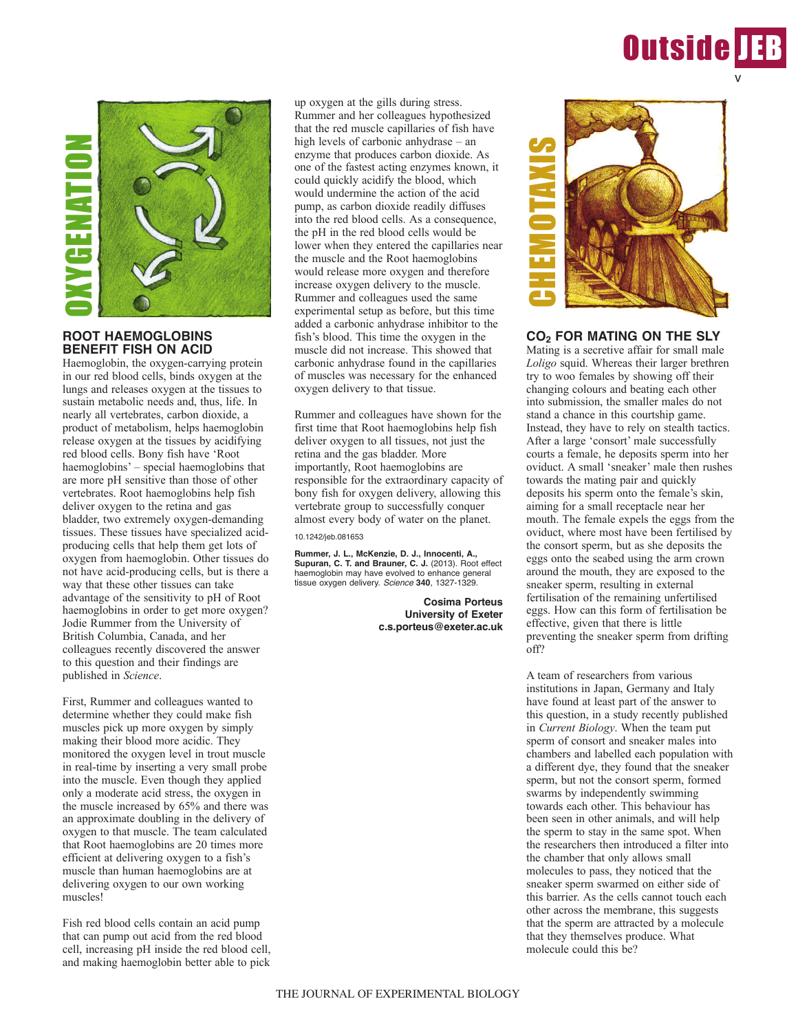



# **ROOT HAEMOGLOBINS BENEFIT FISH ON ACID**

Haemoglobin, the oxygen-carrying protein in our red blood cells, binds oxygen at the lungs and releases oxygen at the tissues to sustain metabolic needs and, thus, life. In nearly all vertebrates, carbon dioxide, a product of metabolism, helps haemoglobin release oxygen at the tissues by acidifying red blood cells. Bony fish have 'Root haemoglobins' – special haemoglobins that are more pH sensitive than those of other vertebrates. Root haemoglobins help fish deliver oxygen to the retina and gas bladder, two extremely oxygen-demanding tissues. These tissues have specialized acidproducing cells that help them get lots of oxygen from haemoglobin. Other tissues do not have acid-producing cells, but is there a way that these other tissues can take advantage of the sensitivity to pH of Root haemoglobins in order to get more oxygen? Jodie Rummer from the University of British Columbia, Canada, and her colleagues recently discovered the answer to this question and their findings are published in *Science*.

First, Rummer and colleagues wanted to determine whether they could make fish muscles pick up more oxygen by simply making their blood more acidic. They monitored the oxygen level in trout muscle in real-time by inserting a very small probe into the muscle. Even though they applied only a moderate acid stress, the oxygen in the muscle increased by 65% and there was an approximate doubling in the delivery of oxygen to that muscle. The team calculated that Root haemoglobins are 20 times more efficient at delivering oxygen to a fish's muscle than human haemoglobins are at delivering oxygen to our own working muscles!

Fish red blood cells contain an acid pump that can pump out acid from the red blood cell, increasing pH inside the red blood cell, and making haemoglobin better able to pick

up oxygen at the gills during stress. Rummer and her colleagues hypothesized that the red muscle capillaries of fish have high levels of carbonic anhydrase – an enzyme that produces carbon dioxide. As one of the fastest acting enzymes known, it could quickly acidify the blood, which would undermine the action of the acid pump, as carbon dioxide readily diffuses into the red blood cells. As a consequence, the pH in the red blood cells would be lower when they entered the capillaries near the muscle and the Root haemoglobins would release more oxygen and therefore increase oxygen delivery to the muscle. Rummer and colleagues used the same experimental setup as before, but this time added a carbonic anhydrase inhibitor to the fish's blood. This time the oxygen in the muscle did not increase. This showed that carbonic anhydrase found in the capillaries of muscles was necessary for the enhanced oxygen delivery to that tissue.

Rummer and colleagues have shown for the first time that Root haemoglobins help fish deliver oxygen to all tissues, not just the retina and the gas bladder. More importantly, Root haemoglobins are responsible for the extraordinary capacity of bony fish for oxygen delivery, allowing this vertebrate group to successfully conquer almost every body of water on the planet. 10.1242/jeb.081653

**Rummer, J. L., McKenzie, D. J., Innocenti, A., Supuran, C. T. and Brauner, C. J.** (2013). Root effect haemoglobin may have evolved to enhance general tissue oxygen delivery. *Science* **340**, 1327-1329.

> **Cosima Porteus University of Exeter c.s.porteus@exeter.ac.uk**



## **CO2 FOR MATING ON THE SLY**

Mating is a secretive affair for small male *Loligo* squid. Whereas their larger brethren try to woo females by showing off their changing colours and beating each other into submission, the smaller males do not stand a chance in this courtship game. Instead, they have to rely on stealth tactics. After a large 'consort' male successfully courts a female, he deposits sperm into her oviduct. A small 'sneaker' male then rushes towards the mating pair and quickly deposits his sperm onto the female's skin, aiming for a small receptacle near her mouth. The female expels the eggs from the oviduct, where most have been fertilised by the consort sperm, but as she deposits the eggs onto the seabed using the arm crown around the mouth, they are exposed to the sneaker sperm, resulting in external fertilisation of the remaining unfertilised eggs. How can this form of fertilisation be effective, given that there is little preventing the sneaker sperm from drifting off?

A team of researchers from various institutions in Japan, Germany and Italy have found at least part of the answer to this question, in a study recently published in *Current Biology*. When the team put sperm of consort and sneaker males into chambers and labelled each population with a different dye, they found that the sneaker sperm, but not the consort sperm, formed swarms by independently swimming towards each other. This behaviour has been seen in other animals, and will help the sperm to stay in the same spot. When the researchers then introduced a filter into the chamber that only allows small molecules to pass, they noticed that the sneaker sperm swarmed on either side of this barrier. As the cells cannot touch each other across the membrane, this suggests that the sperm are attracted by a molecule that they themselves produce. What molecule could this be?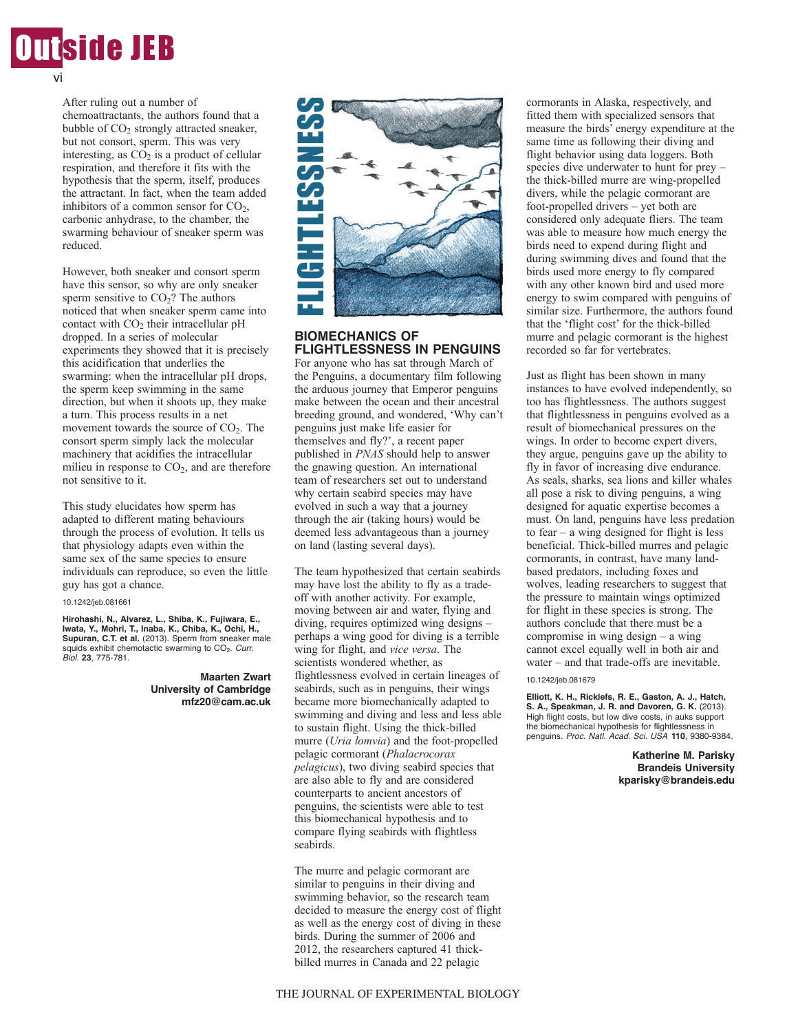

After ruling out a number of chemoattractants, the authors found that a bubble of CO<sub>2</sub> strongly attracted sneaker, but not consort, sperm. This was very interesting, as  $CO<sub>2</sub>$  is a product of cellular respiration, and therefore it fits with the hypothesis that the sperm, itself, produces the attractant. In fact, when the team added inhibitors of a common sensor for  $CO<sub>2</sub>$ , carbonic anhydrase, to the chamber, the swarming behaviour of sneaker sperm was reduced.

However, both sneaker and consort sperm have this sensor, so why are only sneaker sperm sensitive to  $CO<sub>2</sub>$ ? The authors noticed that when sneaker sperm came into contact with  $CO<sub>2</sub>$  their intracellular pH dropped. In a series of molecular experiments they showed that it is precisely this acidification that underlies the swarming: when the intracellular pH drops, the sperm keep swimming in the same direction, but when it shoots up, they make a turn. This process results in a net movement towards the source of  $CO<sub>2</sub>$ . The consort sperm simply lack the molecular machinery that acidifies the intracellular milieu in response to  $CO<sub>2</sub>$ , and are therefore not sensitive to it.

This study elucidates how sperm has adapted to different mating behaviours through the process of evolution. It tells us that physiology adapts even within the same sex of the same species to ensure individuals can reproduce, so even the little guy has got a chance.

#### 10.1242/jeb.081661

**Hirohashi, N., Alvarez, L., Shiba, K., Fujiwara, E., Iwata, Y., Mohri, T., Inaba, K., Chiba, K., Ochi, H., Supuran, C.T. et al.** (2013). Sperm from sneaker male squids exhibit chemotactic swarming to CO<sub>2</sub>. Curr. *Biol.* **23**, 775-781.

> **Maarten Zwart University of Cambridge mfz20@cam.ac.uk**



## **BIOMECHANICS OF FLIGHTLESSNESS IN PENGUINS**

For anyone who has sat through March of the Penguins, a documentary film following the arduous journey that Emperor penguins make between the ocean and their ancestral breeding ground, and wondered, 'Why can't penguins just make life easier for themselves and fly?', a recent paper published in *PNAS* should help to answer the gnawing question. An international team of researchers set out to understand why certain seabird species may have evolved in such a way that a journey through the air (taking hours) would be deemed less advantageous than a journey on land (lasting several days).

The team hypothesized that certain seabirds may have lost the ability to fly as a tradeoff with another activity. For example, moving between air and water, flying and diving, requires optimized wing designs – perhaps a wing good for diving is a terrible wing for flight, and *vice versa*. The scientists wondered whether, as flightlessness evolved in certain lineages of seabirds, such as in penguins, their wings became more biomechanically adapted to swimming and diving and less and less able to sustain flight. Using the thick-billed murre (*Uria lomvia*) and the foot-propelled pelagic cormorant (*Phalacrocorax pelagicus*), two diving seabird species that are also able to fly and are considered counterparts to ancient ancestors of penguins, the scientists were able to test this biomechanical hypothesis and to compare flying seabirds with flightless seabirds.

The murre and pelagic cormorant are similar to penguins in their diving and swimming behavior, so the research team decided to measure the energy cost of flight as well as the energy cost of diving in these birds. During the summer of 2006 and 2012, the researchers captured 41 thickbilled murres in Canada and 22 pelagic

cormorants in Alaska, respectively, and fitted them with specialized sensors that measure the birds' energy expenditure at the same time as following their diving and flight behavior using data loggers. Both species dive underwater to hunt for prey – the thick-billed murre are wing-propelled divers, while the pelagic cormorant are foot-propelled drivers – yet both are considered only adequate fliers. The team was able to measure how much energy the birds need to expend during flight and during swimming dives and found that the birds used more energy to fly compared with any other known bird and used more energy to swim compared with penguins of similar size. Furthermore, the authors found that the 'flight cost' for the thick-billed murre and pelagic cormorant is the highest recorded so far for vertebrates.

Just as flight has been shown in many instances to have evolved independently, so too has flightlessness. The authors suggest that flightlessness in penguins evolved as a result of biomechanical pressures on the wings. In order to become expert divers, they argue, penguins gave up the ability to fly in favor of increasing dive endurance. As seals, sharks, sea lions and killer whales all pose a risk to diving penguins, a wing designed for aquatic expertise becomes a must. On land, penguins have less predation to fear – a wing designed for flight is less beneficial. Thick-billed murres and pelagic cormorants, in contrast, have many landbased predators, including foxes and wolves, leading researchers to suggest that the pressure to maintain wings optimized for flight in these species is strong. The authors conclude that there must be a compromise in wing design – a wing cannot excel equally well in both air and water – and that trade-offs are inevitable.

#### 10.1242/jeb.081679

**Elliott, K. H., Ricklefs, R. E., Gaston, A. J., Hatch, S. A., Speakman, J. R. and Davoren, G. K.** (2013). High flight costs, but low dive costs, in auks support the biomechanical hypothesis for flightlessness in penguins. *Proc. Natl. Acad. Sci. USA* **110**, 9380-9384.

> **Katherine M. Parisky Brandeis University kparisky@brandeis.edu**